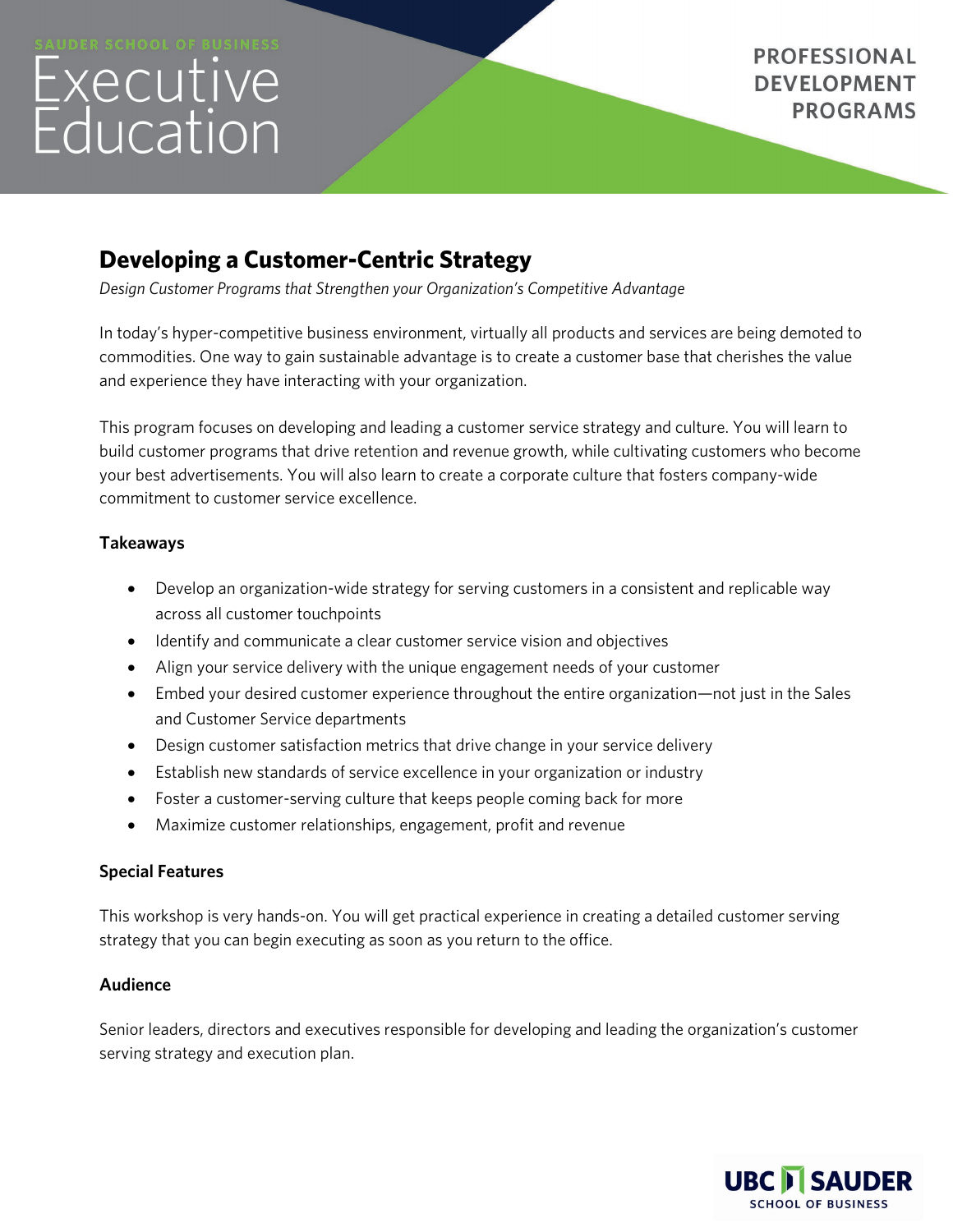# Executive<br>Education

**PROFESSIONAL DEVELOPMENT PROGRAMS** 

# **Developing a Customer-Centric Strategy**

*Design Customer Programs that Strengthen your Organization's Competitive Advantage*

In today's hyper-competitive business environment, virtually all products and services are being demoted to commodities. One way to gain sustainable advantage is to create a customer base that cherishes the value and experience they have interacting with your organization.

This program focuses on developing and leading a customer service strategy and culture. You will learn to build customer programs that drive retention and revenue growth, while cultivating customers who become your best advertisements. You will also learn to create a corporate culture that fosters company-wide commitment to customer service excellence.

# **Takeaways**

- Develop an organization-wide strategy for serving customers in a consistent and replicable way across all customer touchpoints
- Identify and communicate a clear customer service vision and objectives
- Align your service delivery with the unique engagement needs of your customer
- Embed your desired customer experience throughout the entire organization—not just in the Sales and Customer Service departments
- Design customer satisfaction metrics that drive change in your service delivery
- Establish new standards of service excellence in your organization or industry
- Foster a customer-serving culture that keeps people coming back for more
- Maximize customer relationships, engagement, profit and revenue

# **Special Features**

This workshop is very hands-on. You will get practical experience in creating a detailed customer serving strategy that you can begin executing as soon as you return to the office.

# **Audience**

Senior leaders, directors and executives responsible for developing and leading the organization's customer serving strategy and execution plan.